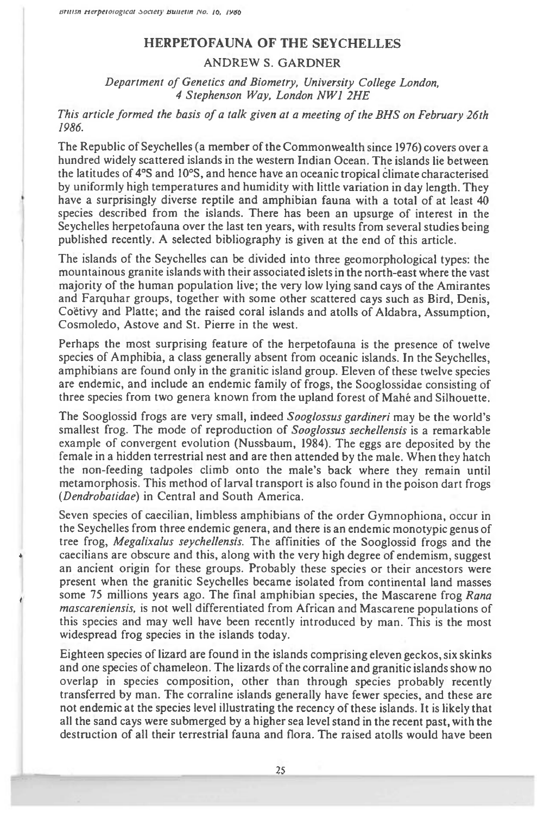## **HERPETOFAUNA OF THE SEYCHELLES**

## ANDREW S. GARDNER

*Department of Genetics and Biometry, University College London, 4 Stephenson Way, London NW1 2HE* 

## *This article formed the basis of a talk given at a meeting of the BHS on February 26th 1986.*

The Republic of Seychelles (a member of the Commonwealth since 1976) covers over a hundred widely scattered islands in the western Indian Ocean. The islands lie between the latitudes of 4°S and 10°S, and hence have an oceanic tropical climate characterised by uniformly high temperatures and humidity with little variation in day length. They have a surprisingly diverse reptile and amphibian fauna with a total of at least 40 species described from the islands. There has been an upsurge of interest in the Seychelles herpetofauna over the last ten years, with results from several studies being published recently. A selected bibliography is given at the end of this article.

The islands of the Seychelles can be divided into three geomorphological types: the mountainous granite islands with their associated islets in the north-east where the vast majority of the human population live; the very low lying sand cays of the Amirantes and Farquhar groups, together with some other scattered cays such as Bird, Denis, Coetivy and Platte; and the raised coral islands and atolls of Aldabra, Assumption, Cosmoledo, Astove and St. Pierre in the west.

Perhaps the most surprising feature of the herpetofauna is the presence of twelve species of Amphibia, a class generally absent from oceanic islands. In the Seychelles, amphibians are found only in the granitic island group. Eleven of these twelve species are endemic, and include an endemic family of frogs, the Sooglossidae consisting of three species from two genera known from the upland forest of Mahe and Silhouette.

The Sooglossid frogs are very small, indeed *Sooglossus gardineri may* be the world's smallest frog. The mode of reproduction of *Sooglossus sechellensis is* a remarkable example of convergent evolution (Nussbaum, 1984). The eggs are deposited by the female in a hidden terrestrial nest and are then attended by the male. When they hatch the non-feeding tadpoles climb onto the male's back where they remain until metamorphosis. This method of larval transport is also found in the poison dart frogs *(Dendrobatidae)* in Central and South America.

Seven species of caecilian, limbless amphibians of the order Gymnophiona, occur in the Seychelles from three endemic genera, and there is an endemic monotypic genus of tree frog, *Megalixalus seychellensis.* The affinities of the Sooglossid frogs and the caecilians are obscure and this, along with the very high degree of endemism, suggest an ancient origin for these groups. Probably these species or their ancestors were present when the granitic Seychelles became isolated from continental land masses some 75 millions years ago. The final amphibian species, the Mascarene frog *Rana mascareniensis,* is not well differentiated from African and Mascarene populations of this species and may well have been recently introduced by man. This is the most widespread frog species in the islands today.

Eighteen species of lizard are found in the islands comprising eleven geckos, six skinks and one species of chameleon. The lizards of the corraline and granitic islands show no overlap in species composition, other than through species probably recently transferred by man. The corraline islands generally have fewer species, and these are not endemic at the species level illustrating the recency of these islands. It is likely that all the sand cays were submerged by a higher sea level stand in the recent past, with the destruction of all their terrestrial fauna and flora. The raised atolls would have been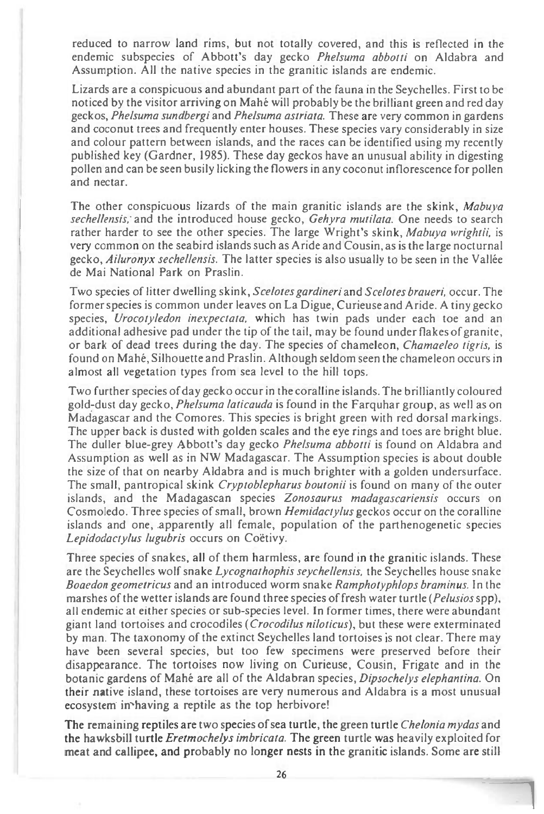reduced to narrow land rims, but not totally covered, and this is reflected in the endemic subspecies of Abbott's day gecko Phelsuma abbotti on Aldabra and Assumption. All the native species in the granitic islands are endemic.

Lizards are a conspicuous and abundant part of the fauna in the Seychelles. First to be noticed by the visitor arriving on Mahe will probably be the brilliant green and red day geckos, *Phelsuma sundbergi* and *Phelsuma astriata.* These are very common in gardens and coconut trees and frequently enter houses. These species vary considerably in size and colour pattern between islands, and the races can be identified using my recently published key (Gardner, 1985). These day geckos have an unusual ability in digesting pollen and can be seen busily licking the flowers in any coconut inflorescence for pollen and nectar.

The other conspicuous lizards of the main granitic islands are the skink, Mabuya *sechellensis,.* and the introduced house gecko, *Gehyra mutilata.* One needs to search rather harder to see the other species. The large Wright's skink, *Mabuya wrightii,* is very common on the seabird islands such as Aride and Cousin, as is the large nocturnal gecko, Ailuronyx sechellensis. The latter species is also usually to be seen in the Vallee de Mai National Park on Praslin.

Two species of litter dwelling skink, *Scelotes gardineri* and *Scelotesbraueri,* occur. The former species is common under leaves on La Digue, Curieuse and Aride. A tiny gecko species, Urocotyledon inexpectata, which has twin pads under each toe and an additional adhesive pad under the tip of the tail, may be found under flakes of granite, or bark of dead trees during the day. The species of chameleon, *Chamaeleo tigris,* is found on Mahe, Silhouette and Praslin. Although seldom seen the chameleon occurs in almost all vegetation types from sea level to the hill tops.

Two further species of day gecko occur in the coralline islands. The brilliantly coloured gold-dust day gecko, Phelsuma laticauda is found in the Farquhar group, as well as on Madagascar and the Comores. This species is bright green with red dorsal markings. The upper back is dusted with golden scales and the eye rings and toes are bright blue. The duller blue-grey Abbott's day gecko *Phelsuma abbotti* is found on Aldabra and Assumption as well as in NW Madagascar. The Assumption species is about double the size of that on nearby Aldabra and is much brighter with a golden undersurface. The small, pantropical skink *Cryptoblepharus boutonii* is found on many of the outer islands, and the Madagascan species *Zonosaurus madagascariensis* occurs on Cosmoledo. Three species of small, brown *Hemidactylus* geckos occur on the coralline islands and one, apparently all female, population of the parthenogenetic species *Lepidodactylus lugubris* occurs on Coetivy.

Three species of snakes, all of them harmless, are found in the granitic islands. These are the Seychelles wolf snake Lycognathophis seychellensis, the Seychelles house snake *Boaedon geometricus* and an introduced worm snake *Ramphotyphlops braminus.* In the marshes of the wetter islands are found three species of fresh water turtle (*Pelusios* spp), all endemic at either species or sub-species level. In former times, there were abundant giant land tortoises and crocodiles (Crocodilus niloticus), but these were exterminated by man. The taxonomy of the extinct Seychelles land tortoises is not clear. There may have been several species, but too few specimens were preserved before their disappearance. The tortoises now living on Curieuse, Cousin, Frigate and in the botanic gardens of Mahé are all of the Aldabran species, Dipsochelys elephantina. On their native island, these tortoises are very numerous and Aldabra is a most unusual ecosystem in having a reptile as the top herbivore!

The remaining reptiles are two species of sea turtle, the green turtle Chelonia mydas and **the hawksbill turtle** Eretmochelys imbricata. The green turtle was heavily exploited for **meat and callipee, and probably no longer nests in the granitic islands. Some are still**